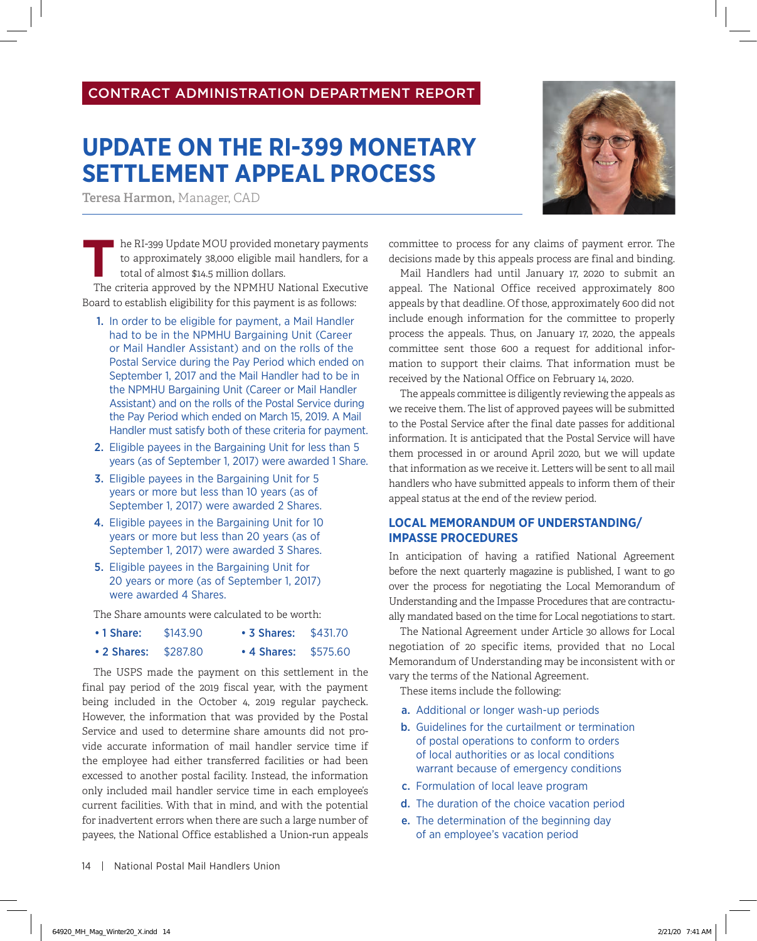## CONTRACT ADMINISTRATION DEPARTMENT REPORT

## **UPDATE ON THE RI-399 MONETARY SETTLEMENT APPEAL PROCESS**

**Teresa Harmon,** Manager, CAD

he RI-399 Update MOU provided monetary payments to approximately 38,000 eligible mail handlers, for a total of almost \$14.5 million dollars.

The criteria approved by the NPMHU National Executive Board to establish eligibility for this payment is as follows:

- 1. In order to be eligible for payment, a Mail Handler had to be in the NPMHU Bargaining Unit (Career or Mail Handler Assistant) and on the rolls of the Postal Service during the Pay Period which ended on September 1, 2017 and the Mail Handler had to be in the NPMHU Bargaining Unit (Career or Mail Handler Assistant) and on the rolls of the Postal Service during the Pay Period which ended on March 15, 2019. A Mail Handler must satisfy both of these criteria for payment.
- 2. Eligible payees in the Bargaining Unit for less than 5 years (as of September 1, 2017) were awarded 1 Share.
- 3. Eligible payees in the Bargaining Unit for 5 years or more but less than 10 years (as of September 1, 2017) were awarded 2 Shares.
- 4. Eligible payees in the Bargaining Unit for 10 years or more but less than 20 years (as of September 1, 2017) were awarded 3 Shares.
- 5. Eligible payees in the Bargaining Unit for 20 years or more (as of September 1, 2017) were awarded 4 Shares.

The Share amounts were calculated to be worth:

| $\cdot$ 1 Share:     | \$143.90 | • 3 Shares: \$431.70 |  |
|----------------------|----------|----------------------|--|
| • 2 Shares: \$287.80 |          | • 4 Shares: \$575.60 |  |

The USPS made the payment on this settlement in the final pay period of the 2019 fiscal year, with the payment being included in the October 4, 2019 regular paycheck. However, the information that was provided by the Postal Service and used to determine share amounts did not provide accurate information of mail handler service time if the employee had either transferred facilities or had been excessed to another postal facility. Instead, the information only included mail handler service time in each employee's current facilities. With that in mind, and with the potential for inadvertent errors when there are such a large number of payees, the National Office established a Union-run appeals

14 | National Postal Mail Handlers Union

committee to process for any claims of payment error. The decisions made by this appeals process are final and binding.

Mail Handlers had until January 17, 2020 to submit an appeal. The National Office received approximately 800 appeals by that deadline. Of those, approximately 600 did not include enough information for the committee to properly process the appeals. Thus, on January 17, 2020, the appeals committee sent those 600 a request for additional information to support their claims. That information must be received by the National Office on February 14, 2020.

The appeals committee is diligently reviewing the appeals as we receive them. The list of approved payees will be submitted to the Postal Service after the final date passes for additional information. It is anticipated that the Postal Service will have them processed in or around April 2020, but we will update that information as we receive it. Letters will be sent to all mail handlers who have submitted appeals to inform them of their appeal status at the end of the review period.

## **LOCAL MEMORANDUM OF UNDERSTANDING/ IMPASSE PROCEDURES**

In anticipation of having a ratified National Agreement before the next quarterly magazine is published, I want to go over the process for negotiating the Local Memorandum of Understanding and the Impasse Procedures that are contractually mandated based on the time for Local negotiations to start.

The National Agreement under Article 30 allows for Local negotiation of 20 specific items, provided that no Local Memorandum of Understanding may be inconsistent with or vary the terms of the National Agreement.

These items include the following:

- a. Additional or longer wash-up periods
- b. Guidelines for the curtailment or termination of postal operations to conform to orders of local authorities or as local conditions warrant because of emergency conditions
- c. Formulation of local leave program
- d. The duration of the choice vacation period
- e. The determination of the beginning day of an employee's vacation period